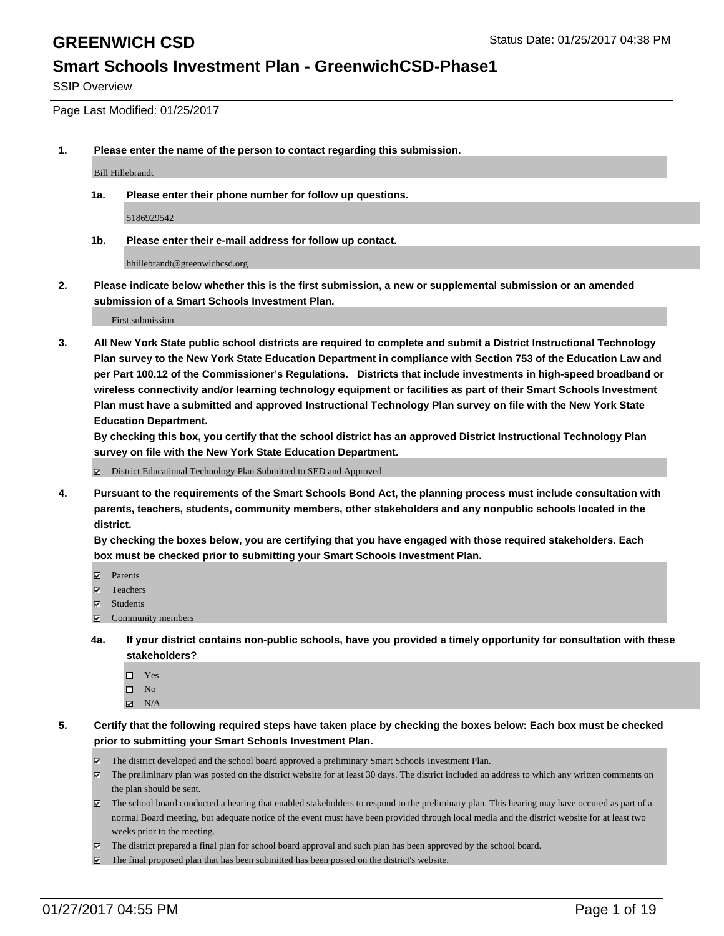SSIP Overview

Page Last Modified: 01/25/2017

**1. Please enter the name of the person to contact regarding this submission.**

Bill Hillebrandt

**1a. Please enter their phone number for follow up questions.**

5186929542

**1b. Please enter their e-mail address for follow up contact.**

bhillebrandt@greenwichcsd.org

**2. Please indicate below whether this is the first submission, a new or supplemental submission or an amended submission of a Smart Schools Investment Plan.**

First submission

**3. All New York State public school districts are required to complete and submit a District Instructional Technology Plan survey to the New York State Education Department in compliance with Section 753 of the Education Law and per Part 100.12 of the Commissioner's Regulations. Districts that include investments in high-speed broadband or wireless connectivity and/or learning technology equipment or facilities as part of their Smart Schools Investment Plan must have a submitted and approved Instructional Technology Plan survey on file with the New York State Education Department.** 

**By checking this box, you certify that the school district has an approved District Instructional Technology Plan survey on file with the New York State Education Department.**

District Educational Technology Plan Submitted to SED and Approved

**4. Pursuant to the requirements of the Smart Schools Bond Act, the planning process must include consultation with parents, teachers, students, community members, other stakeholders and any nonpublic schools located in the district.** 

**By checking the boxes below, you are certifying that you have engaged with those required stakeholders. Each box must be checked prior to submitting your Smart Schools Investment Plan.**

- **Parents**
- Teachers
- **冈** Students
- Community members
- **4a. If your district contains non-public schools, have you provided a timely opportunity for consultation with these stakeholders?**
	- □ Yes
	- $\square$  No
	- $\boxtimes$  N/A
- **5. Certify that the following required steps have taken place by checking the boxes below: Each box must be checked prior to submitting your Smart Schools Investment Plan.**
	- The district developed and the school board approved a preliminary Smart Schools Investment Plan.
	- The preliminary plan was posted on the district website for at least 30 days. The district included an address to which any written comments on the plan should be sent.
	- The school board conducted a hearing that enabled stakeholders to respond to the preliminary plan. This hearing may have occured as part of a normal Board meeting, but adequate notice of the event must have been provided through local media and the district website for at least two weeks prior to the meeting.
	- The district prepared a final plan for school board approval and such plan has been approved by the school board.
	- $\boxtimes$  The final proposed plan that has been submitted has been posted on the district's website.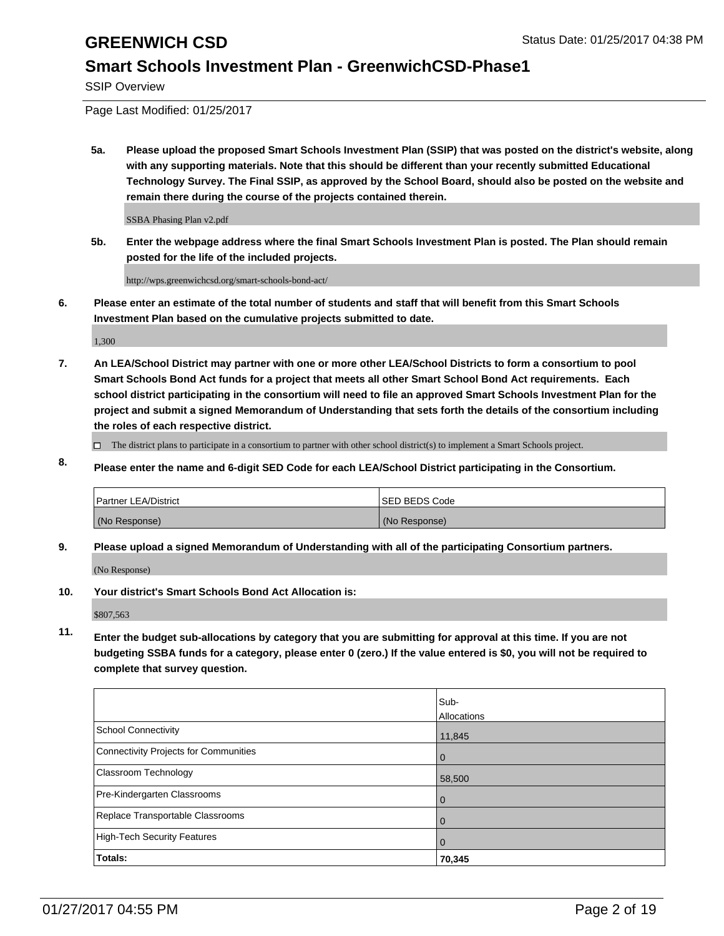SSIP Overview

Page Last Modified: 01/25/2017

**5a. Please upload the proposed Smart Schools Investment Plan (SSIP) that was posted on the district's website, along with any supporting materials. Note that this should be different than your recently submitted Educational Technology Survey. The Final SSIP, as approved by the School Board, should also be posted on the website and remain there during the course of the projects contained therein.**

SSBA Phasing Plan v2.pdf

**5b. Enter the webpage address where the final Smart Schools Investment Plan is posted. The Plan should remain posted for the life of the included projects.**

http://wps.greenwichcsd.org/smart-schools-bond-act/

**6. Please enter an estimate of the total number of students and staff that will benefit from this Smart Schools Investment Plan based on the cumulative projects submitted to date.**

1,300

- **7. An LEA/School District may partner with one or more other LEA/School Districts to form a consortium to pool Smart Schools Bond Act funds for a project that meets all other Smart School Bond Act requirements. Each school district participating in the consortium will need to file an approved Smart Schools Investment Plan for the project and submit a signed Memorandum of Understanding that sets forth the details of the consortium including the roles of each respective district.**
	- $\Box$  The district plans to participate in a consortium to partner with other school district(s) to implement a Smart Schools project.
- **8. Please enter the name and 6-digit SED Code for each LEA/School District participating in the Consortium.**

| <b>Partner LEA/District</b> | <b>ISED BEDS Code</b> |
|-----------------------------|-----------------------|
| (No Response)               | (No Response)         |

**9. Please upload a signed Memorandum of Understanding with all of the participating Consortium partners.**

(No Response)

**10. Your district's Smart Schools Bond Act Allocation is:**

\$807,563

**11. Enter the budget sub-allocations by category that you are submitting for approval at this time. If you are not budgeting SSBA funds for a category, please enter 0 (zero.) If the value entered is \$0, you will not be required to complete that survey question.**

|                                       | Sub-        |
|---------------------------------------|-------------|
|                                       | Allocations |
| School Connectivity                   | 11,845      |
| Connectivity Projects for Communities | 0           |
| <b>Classroom Technology</b>           | 58,500      |
| Pre-Kindergarten Classrooms           | 0           |
| Replace Transportable Classrooms      |             |
| High-Tech Security Features           | 0           |
| Totals:                               | 70,345      |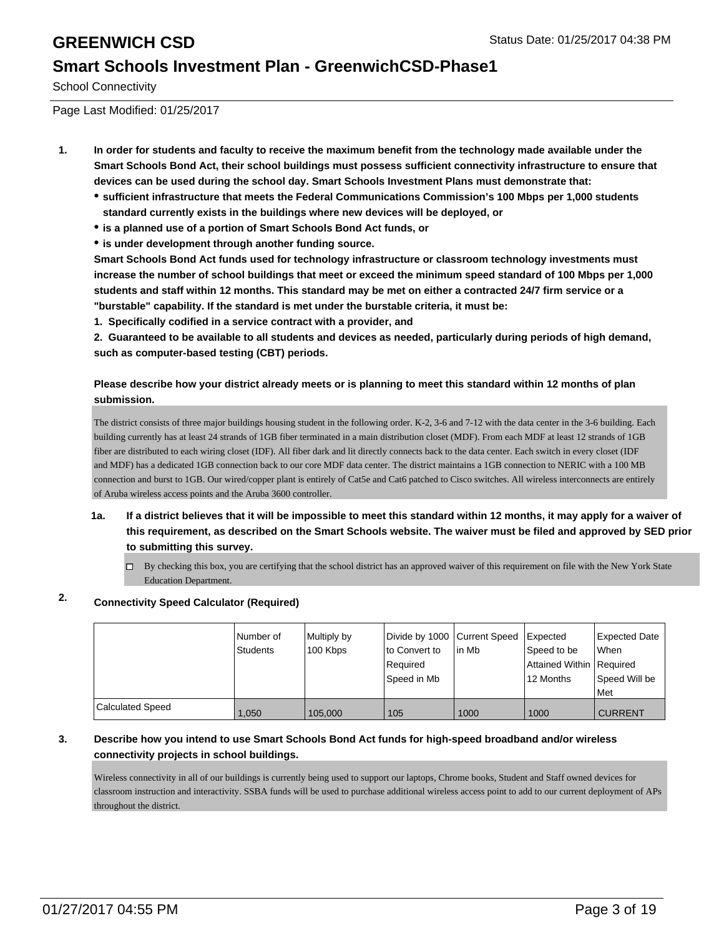School Connectivity

Page Last Modified: 01/25/2017

- **1. In order for students and faculty to receive the maximum benefit from the technology made available under the Smart Schools Bond Act, their school buildings must possess sufficient connectivity infrastructure to ensure that devices can be used during the school day. Smart Schools Investment Plans must demonstrate that:**
	- **sufficient infrastructure that meets the Federal Communications Commission's 100 Mbps per 1,000 students standard currently exists in the buildings where new devices will be deployed, or**
	- **is a planned use of a portion of Smart Schools Bond Act funds, or**
	- **is under development through another funding source.**

**Smart Schools Bond Act funds used for technology infrastructure or classroom technology investments must increase the number of school buildings that meet or exceed the minimum speed standard of 100 Mbps per 1,000 students and staff within 12 months. This standard may be met on either a contracted 24/7 firm service or a "burstable" capability. If the standard is met under the burstable criteria, it must be:**

**1. Specifically codified in a service contract with a provider, and**

**2. Guaranteed to be available to all students and devices as needed, particularly during periods of high demand, such as computer-based testing (CBT) periods.**

### **Please describe how your district already meets or is planning to meet this standard within 12 months of plan submission.**

The district consists of three major buildings housing student in the following order. K-2, 3-6 and 7-12 with the data center in the 3-6 building. Each building currently has at least 24 strands of 1GB fiber terminated in a main distribution closet (MDF). From each MDF at least 12 strands of 1GB fiber are distributed to each wiring closet (IDF). All fiber dark and lit directly connects back to the data center. Each switch in every closet (IDF and MDF) has a dedicated 1GB connection back to our core MDF data center. The district maintains a 1GB connection to NERIC with a 100 MB connection and burst to 1GB. Our wired/copper plant is entirely of Cat5e and Cat6 patched to Cisco switches. All wireless interconnects are entirely of Aruba wireless access points and the Aruba 3600 controller.

- **1a. If a district believes that it will be impossible to meet this standard within 12 months, it may apply for a waiver of this requirement, as described on the Smart Schools website. The waiver must be filed and approved by SED prior to submitting this survey.**
	- By checking this box, you are certifying that the school district has an approved waiver of this requirement on file with the New York State Education Department.

### **2. Connectivity Speed Calculator (Required)**

|                         | l Number of<br>Students | Multiply by<br>100 Kbps | Divide by 1000 Current Speed<br>to Convert to<br>Reauired<br>Speed in Mb | in Mb | Expected<br>Speed to be<br>Attained Within   Required<br>12 Months | Expected Date<br>When<br>Speed Will be<br>Met |
|-------------------------|-------------------------|-------------------------|--------------------------------------------------------------------------|-------|--------------------------------------------------------------------|-----------------------------------------------|
| <b>Calculated Speed</b> | 1.050                   | 105,000                 | 105                                                                      | 1000  | 1000                                                               | <b>CURRENT</b>                                |

### **3. Describe how you intend to use Smart Schools Bond Act funds for high-speed broadband and/or wireless connectivity projects in school buildings.**

Wireless connectivity in all of our buildings is currently being used to support our laptops, Chrome books, Student and Staff owned devices for classroom instruction and interactivity. SSBA funds will be used to purchase additional wireless access point to add to our current deployment of APs throughout the district.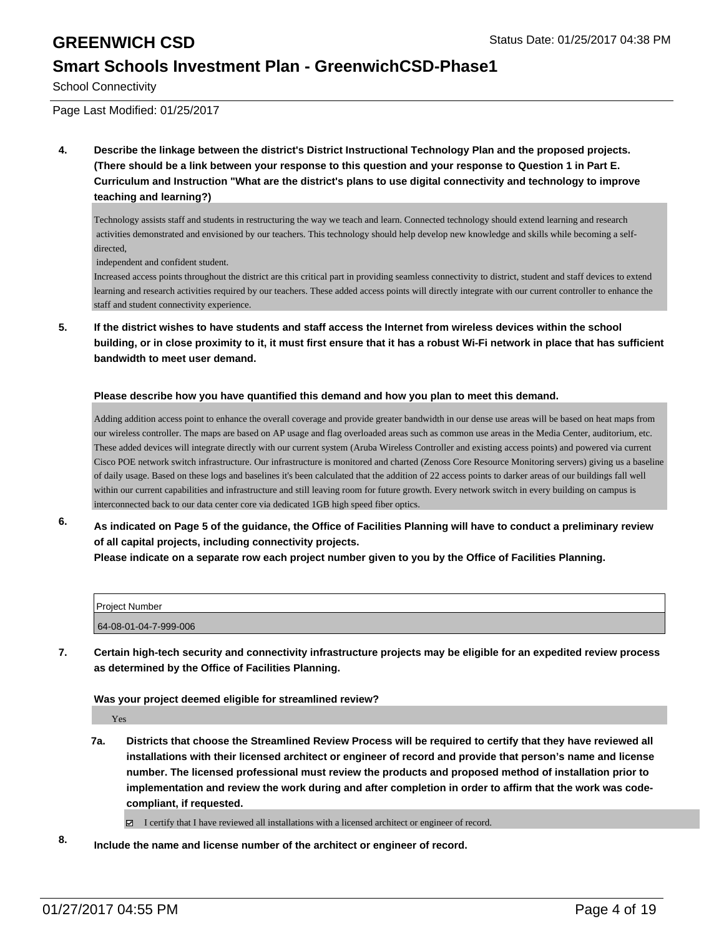School Connectivity

Page Last Modified: 01/25/2017

**4. Describe the linkage between the district's District Instructional Technology Plan and the proposed projects. (There should be a link between your response to this question and your response to Question 1 in Part E. Curriculum and Instruction "What are the district's plans to use digital connectivity and technology to improve teaching and learning?)**

Technology assists staff and students in restructuring the way we teach and learn. Connected technology should extend learning and research activities demonstrated and envisioned by our teachers. This technology should help develop new knowledge and skills while becoming a selfdirected,

independent and confident student.

Increased access points throughout the district are this critical part in providing seamless connectivity to district, student and staff devices to extend learning and research activities required by our teachers. These added access points will directly integrate with our current controller to enhance the staff and student connectivity experience.

**5. If the district wishes to have students and staff access the Internet from wireless devices within the school building, or in close proximity to it, it must first ensure that it has a robust Wi-Fi network in place that has sufficient bandwidth to meet user demand.**

### **Please describe how you have quantified this demand and how you plan to meet this demand.**

Adding addition access point to enhance the overall coverage and provide greater bandwidth in our dense use areas will be based on heat maps from our wireless controller. The maps are based on AP usage and flag overloaded areas such as common use areas in the Media Center, auditorium, etc. These added devices will integrate directly with our current system (Aruba Wireless Controller and existing access points) and powered via current Cisco POE network switch infrastructure. Our infrastructure is monitored and charted (Zenoss Core Resource Monitoring servers) giving us a baseline of daily usage. Based on these logs and baselines it's been calculated that the addition of 22 access points to darker areas of our buildings fall well within our current capabilities and infrastructure and still leaving room for future growth. Every network switch in every building on campus is interconnected back to our data center core via dedicated 1GB high speed fiber optics.

**6. As indicated on Page 5 of the guidance, the Office of Facilities Planning will have to conduct a preliminary review of all capital projects, including connectivity projects.**

**Please indicate on a separate row each project number given to you by the Office of Facilities Planning.**

| Project Number        |  |
|-----------------------|--|
| 64-08-01-04-7-999-006 |  |

**7. Certain high-tech security and connectivity infrastructure projects may be eligible for an expedited review process as determined by the Office of Facilities Planning.**

### **Was your project deemed eligible for streamlined review?**

Yes

**7a. Districts that choose the Streamlined Review Process will be required to certify that they have reviewed all installations with their licensed architect or engineer of record and provide that person's name and license number. The licensed professional must review the products and proposed method of installation prior to implementation and review the work during and after completion in order to affirm that the work was codecompliant, if requested.**

I certify that I have reviewed all installations with a licensed architect or engineer of record.

**8. Include the name and license number of the architect or engineer of record.**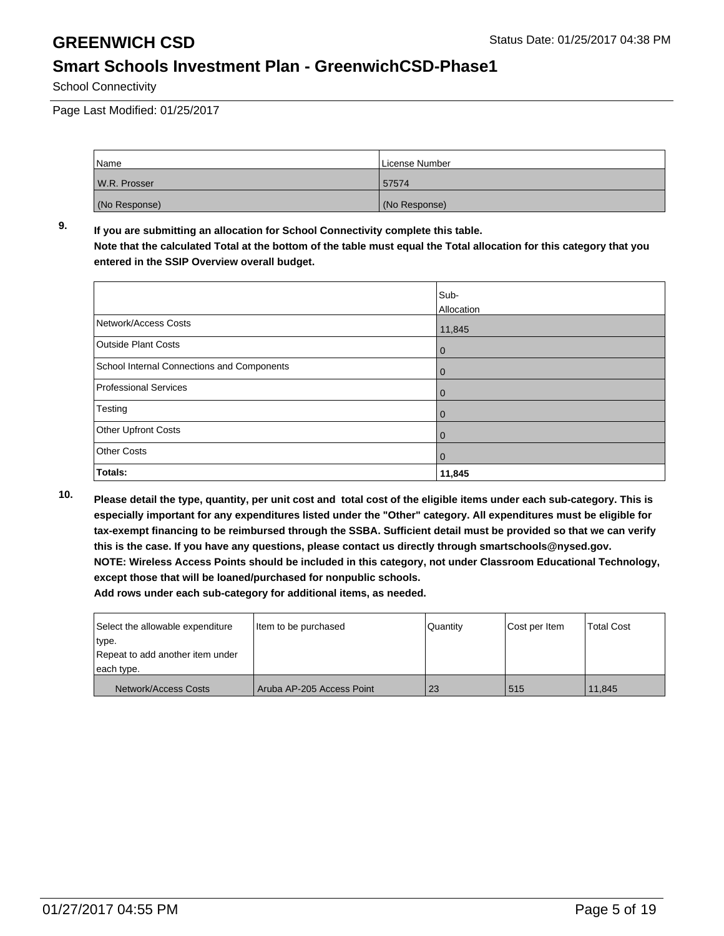School Connectivity

Page Last Modified: 01/25/2017

| Name          | License Number |
|---------------|----------------|
| W.R. Prosser  | 57574          |
| (No Response) | (No Response)  |

**9. If you are submitting an allocation for School Connectivity complete this table. Note that the calculated Total at the bottom of the table must equal the Total allocation for this category that you entered in the SSIP Overview overall budget.** 

|                                            | Sub-<br>Allocation |
|--------------------------------------------|--------------------|
| Network/Access Costs                       | 11,845             |
| <b>Outside Plant Costs</b>                 | $\overline{0}$     |
| School Internal Connections and Components | $\overline{0}$     |
| <b>Professional Services</b>               | l 0                |
| Testing                                    | l 0                |
| <b>Other Upfront Costs</b>                 | l 0                |
| <b>Other Costs</b>                         | l 0                |
| Totals:                                    | 11,845             |

**10. Please detail the type, quantity, per unit cost and total cost of the eligible items under each sub-category. This is especially important for any expenditures listed under the "Other" category. All expenditures must be eligible for tax-exempt financing to be reimbursed through the SSBA. Sufficient detail must be provided so that we can verify this is the case. If you have any questions, please contact us directly through smartschools@nysed.gov. NOTE: Wireless Access Points should be included in this category, not under Classroom Educational Technology, except those that will be loaned/purchased for nonpublic schools.**

| Select the allowable expenditure | Item to be purchased      | Quantity | Cost per Item | <b>Total Cost</b> |
|----------------------------------|---------------------------|----------|---------------|-------------------|
| type.                            |                           |          |               |                   |
| Repeat to add another item under |                           |          |               |                   |
| each type.                       |                           |          |               |                   |
| Network/Access Costs             | Aruba AP-205 Access Point | 23       | 515           | 11.845            |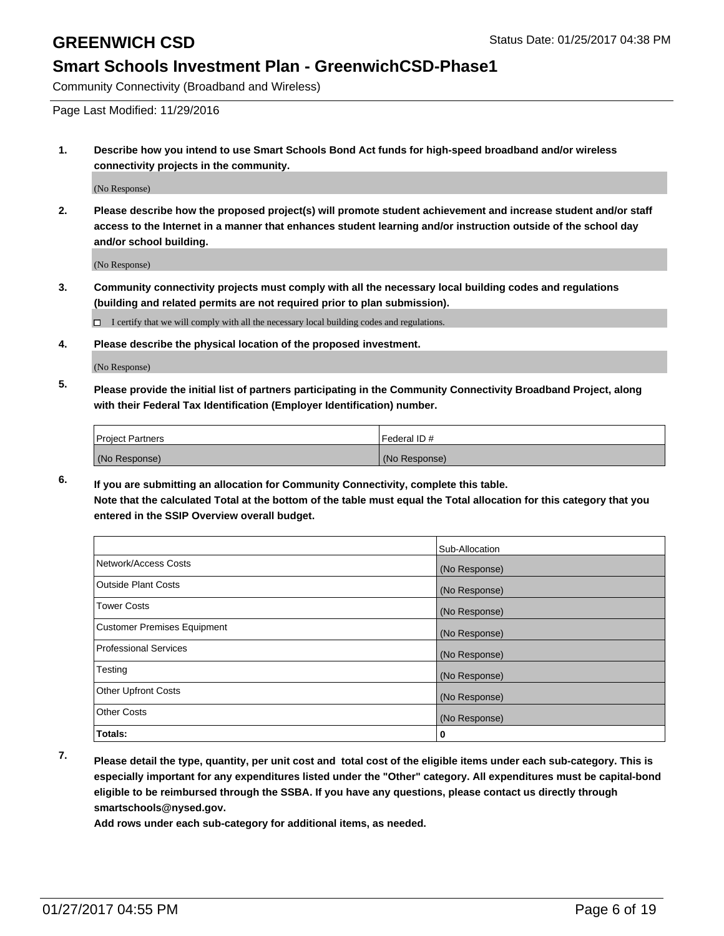Community Connectivity (Broadband and Wireless)

Page Last Modified: 11/29/2016

**1. Describe how you intend to use Smart Schools Bond Act funds for high-speed broadband and/or wireless connectivity projects in the community.**

(No Response)

**2. Please describe how the proposed project(s) will promote student achievement and increase student and/or staff access to the Internet in a manner that enhances student learning and/or instruction outside of the school day and/or school building.**

(No Response)

**3. Community connectivity projects must comply with all the necessary local building codes and regulations (building and related permits are not required prior to plan submission).**

 $\Box$  I certify that we will comply with all the necessary local building codes and regulations.

**4. Please describe the physical location of the proposed investment.**

(No Response)

**5. Please provide the initial list of partners participating in the Community Connectivity Broadband Project, along with their Federal Tax Identification (Employer Identification) number.**

| <b>Project Partners</b> | Federal ID#   |
|-------------------------|---------------|
| (No Response)           | (No Response) |

**6. If you are submitting an allocation for Community Connectivity, complete this table. Note that the calculated Total at the bottom of the table must equal the Total allocation for this category that you entered in the SSIP Overview overall budget.**

|                                    | Sub-Allocation |
|------------------------------------|----------------|
| Network/Access Costs               | (No Response)  |
| <b>Outside Plant Costs</b>         | (No Response)  |
| <b>Tower Costs</b>                 | (No Response)  |
| <b>Customer Premises Equipment</b> | (No Response)  |
| <b>Professional Services</b>       | (No Response)  |
| Testing                            | (No Response)  |
| <b>Other Upfront Costs</b>         | (No Response)  |
| <b>Other Costs</b>                 | (No Response)  |
| Totals:                            | 0              |

**7. Please detail the type, quantity, per unit cost and total cost of the eligible items under each sub-category. This is especially important for any expenditures listed under the "Other" category. All expenditures must be capital-bond eligible to be reimbursed through the SSBA. If you have any questions, please contact us directly through smartschools@nysed.gov.**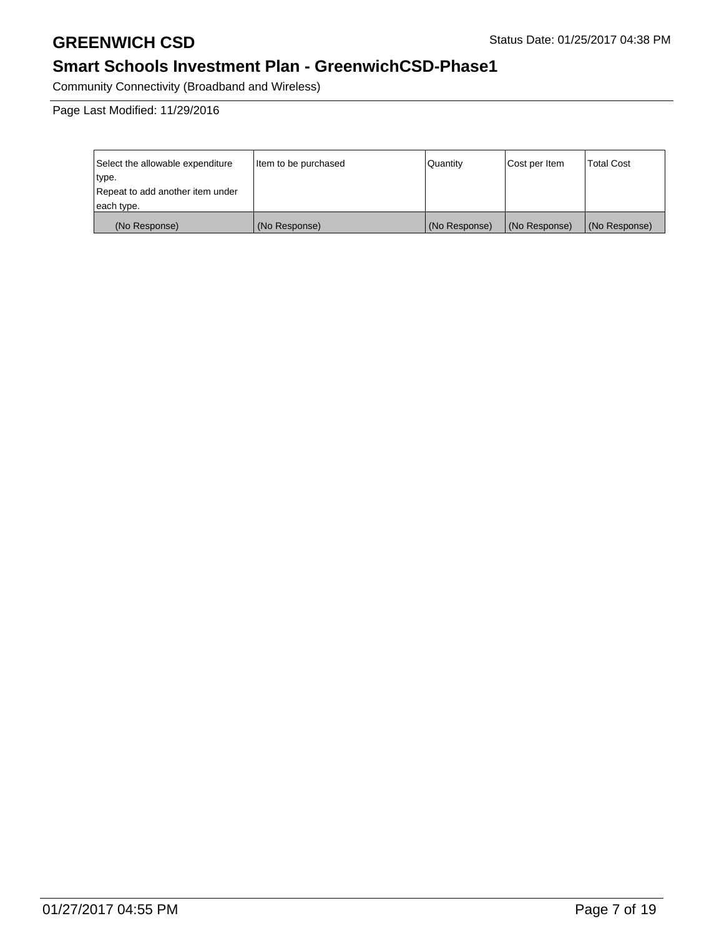Community Connectivity (Broadband and Wireless)

Page Last Modified: 11/29/2016

| Select the allowable expenditure | litem to be purchased | Quantity      | Cost per Item | <b>Total Cost</b> |
|----------------------------------|-----------------------|---------------|---------------|-------------------|
| type.                            |                       |               |               |                   |
| Repeat to add another item under |                       |               |               |                   |
| each type.                       |                       |               |               |                   |
| (No Response)                    | (No Response)         | (No Response) | (No Response) | (No Response)     |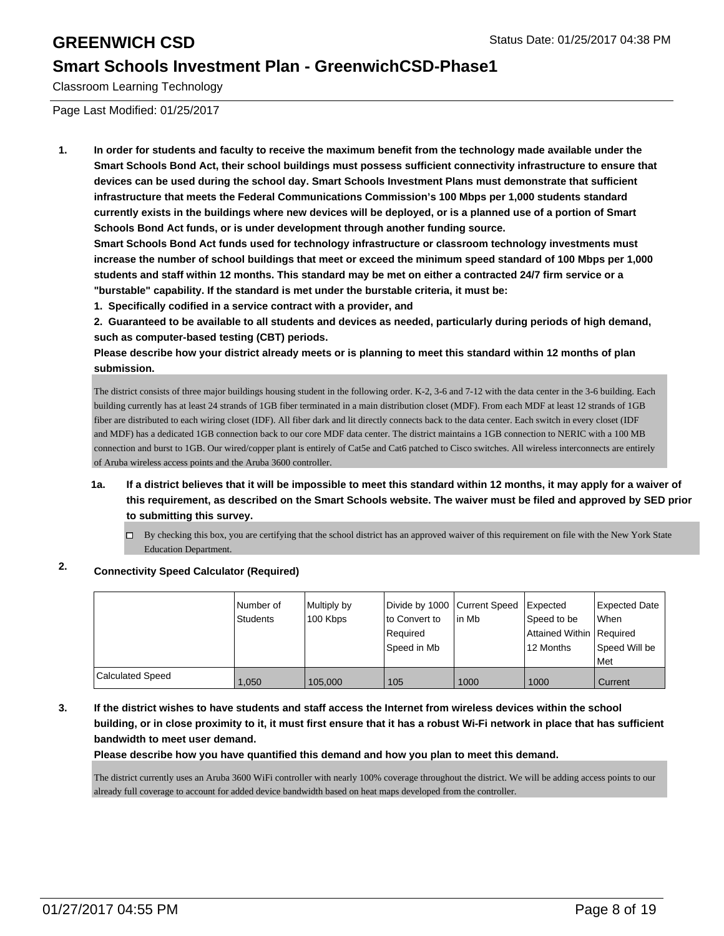Classroom Learning Technology

Page Last Modified: 01/25/2017

**1. In order for students and faculty to receive the maximum benefit from the technology made available under the Smart Schools Bond Act, their school buildings must possess sufficient connectivity infrastructure to ensure that devices can be used during the school day. Smart Schools Investment Plans must demonstrate that sufficient infrastructure that meets the Federal Communications Commission's 100 Mbps per 1,000 students standard currently exists in the buildings where new devices will be deployed, or is a planned use of a portion of Smart Schools Bond Act funds, or is under development through another funding source.**

**Smart Schools Bond Act funds used for technology infrastructure or classroom technology investments must increase the number of school buildings that meet or exceed the minimum speed standard of 100 Mbps per 1,000 students and staff within 12 months. This standard may be met on either a contracted 24/7 firm service or a "burstable" capability. If the standard is met under the burstable criteria, it must be:**

**1. Specifically codified in a service contract with a provider, and**

**2. Guaranteed to be available to all students and devices as needed, particularly during periods of high demand, such as computer-based testing (CBT) periods.**

**Please describe how your district already meets or is planning to meet this standard within 12 months of plan submission.**

The district consists of three major buildings housing student in the following order. K-2, 3-6 and 7-12 with the data center in the 3-6 building. Each building currently has at least 24 strands of 1GB fiber terminated in a main distribution closet (MDF). From each MDF at least 12 strands of 1GB fiber are distributed to each wiring closet (IDF). All fiber dark and lit directly connects back to the data center. Each switch in every closet (IDF and MDF) has a dedicated 1GB connection back to our core MDF data center. The district maintains a 1GB connection to NERIC with a 100 MB connection and burst to 1GB. Our wired/copper plant is entirely of Cat5e and Cat6 patched to Cisco switches. All wireless interconnects are entirely of Aruba wireless access points and the Aruba 3600 controller.

- **1a. If a district believes that it will be impossible to meet this standard within 12 months, it may apply for a waiver of this requirement, as described on the Smart Schools website. The waiver must be filed and approved by SED prior to submitting this survey.**
	- $\Box$  By checking this box, you are certifying that the school district has an approved waiver of this requirement on file with the New York State Education Department.

### **2. Connectivity Speed Calculator (Required)**

|                         | Number of<br>Students | Multiply by<br>100 Kbps | Divide by 1000 Current Speed<br>lto Convert to<br>l Reauired<br>Speed in Mb | lin Mb | <b>Expected</b><br>Speed to be<br>Attained Within   Required<br>12 Months | Expected Date<br>lWhen<br>Speed Will be<br><b>Met</b> |
|-------------------------|-----------------------|-------------------------|-----------------------------------------------------------------------------|--------|---------------------------------------------------------------------------|-------------------------------------------------------|
| <b>Calculated Speed</b> | 1.050                 | 105.000                 | 105                                                                         | 1000   | 1000                                                                      | Current                                               |

### **3. If the district wishes to have students and staff access the Internet from wireless devices within the school building, or in close proximity to it, it must first ensure that it has a robust Wi-Fi network in place that has sufficient bandwidth to meet user demand.**

**Please describe how you have quantified this demand and how you plan to meet this demand.**

The district currently uses an Aruba 3600 WiFi controller with nearly 100% coverage throughout the district. We will be adding access points to our already full coverage to account for added device bandwidth based on heat maps developed from the controller.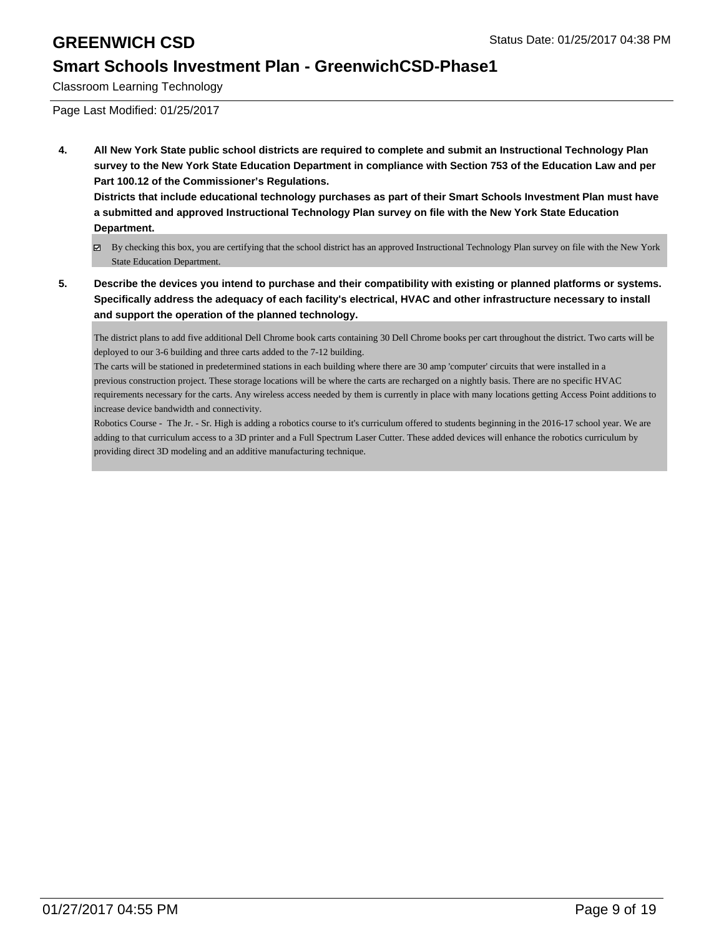Classroom Learning Technology

Page Last Modified: 01/25/2017

**4. All New York State public school districts are required to complete and submit an Instructional Technology Plan survey to the New York State Education Department in compliance with Section 753 of the Education Law and per Part 100.12 of the Commissioner's Regulations.**

**Districts that include educational technology purchases as part of their Smart Schools Investment Plan must have a submitted and approved Instructional Technology Plan survey on file with the New York State Education Department.**

- By checking this box, you are certifying that the school district has an approved Instructional Technology Plan survey on file with the New York State Education Department.
- **5. Describe the devices you intend to purchase and their compatibility with existing or planned platforms or systems. Specifically address the adequacy of each facility's electrical, HVAC and other infrastructure necessary to install and support the operation of the planned technology.**

The district plans to add five additional Dell Chrome book carts containing 30 Dell Chrome books per cart throughout the district. Two carts will be deployed to our 3-6 building and three carts added to the 7-12 building.

The carts will be stationed in predetermined stations in each building where there are 30 amp 'computer' circuits that were installed in a previous construction project. These storage locations will be where the carts are recharged on a nightly basis. There are no specific HVAC requirements necessary for the carts. Any wireless access needed by them is currently in place with many locations getting Access Point additions to increase device bandwidth and connectivity.

Robotics Course - The Jr. - Sr. High is adding a robotics course to it's curriculum offered to students beginning in the 2016-17 school year. We are adding to that curriculum access to a 3D printer and a Full Spectrum Laser Cutter. These added devices will enhance the robotics curriculum by providing direct 3D modeling and an additive manufacturing technique.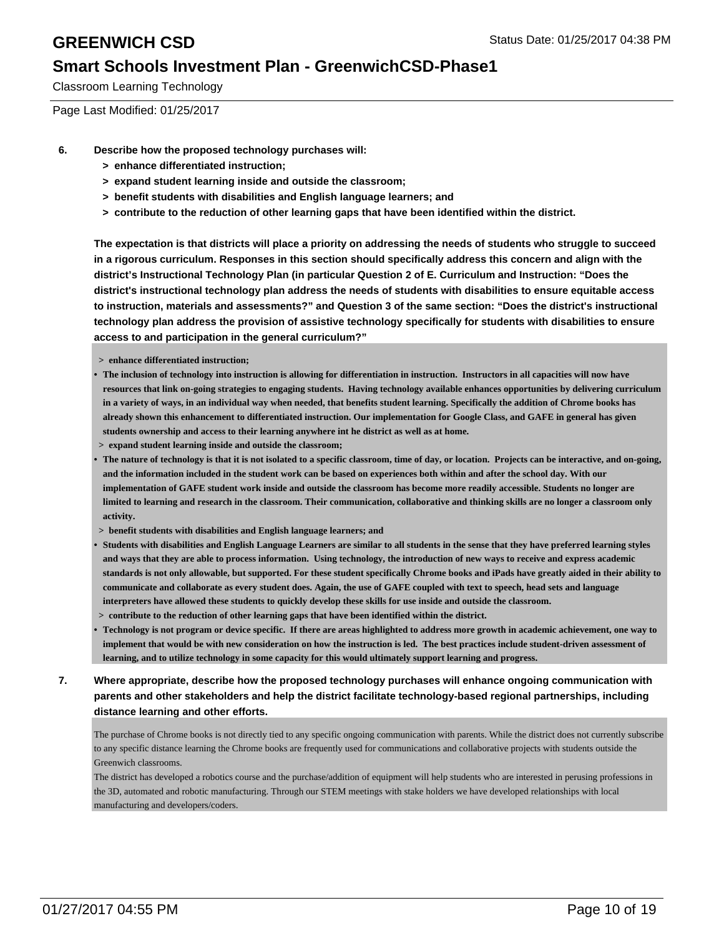Classroom Learning Technology

Page Last Modified: 01/25/2017

- **6. Describe how the proposed technology purchases will:**
	- **> enhance differentiated instruction;**
	- **> expand student learning inside and outside the classroom;**
	- **> benefit students with disabilities and English language learners; and**
	- **> contribute to the reduction of other learning gaps that have been identified within the district.**

**The expectation is that districts will place a priority on addressing the needs of students who struggle to succeed in a rigorous curriculum. Responses in this section should specifically address this concern and align with the district's Instructional Technology Plan (in particular Question 2 of E. Curriculum and Instruction: "Does the district's instructional technology plan address the needs of students with disabilities to ensure equitable access to instruction, materials and assessments?" and Question 3 of the same section: "Does the district's instructional technology plan address the provision of assistive technology specifically for students with disabilities to ensure access to and participation in the general curriculum?"**

- **> enhance differentiated instruction;**
- **• The inclusion of technology into instruction is allowing for differentiation in instruction. Instructors in all capacities will now have resources that link on-going strategies to engaging students. Having technology available enhances opportunities by delivering curriculum in a variety of ways, in an individual way when needed, that benefits student learning. Specifically the addition of Chrome books has already shown this enhancement to differentiated instruction. Our implementation for Google Class, and GAFE in general has given students ownership and access to their learning anywhere int he district as well as at home.**
- **> expand student learning inside and outside the classroom;**
- **• The nature of technology is that it is not isolated to a specific classroom, time of day, or location. Projects can be interactive, and on-going, and the information included in the student work can be based on experiences both within and after the school day. With our implementation of GAFE student work inside and outside the classroom has become more readily accessible. Students no longer are limited to learning and research in the classroom. Their communication, collaborative and thinking skills are no longer a classroom only activity.**
- **> benefit students with disabilities and English language learners; and**
- **• Students with disabilities and English Language Learners are similar to all students in the sense that they have preferred learning styles and ways that they are able to process information. Using technology, the introduction of new ways to receive and express academic standards is not only allowable, but supported. For these student specifically Chrome books and iPads have greatly aided in their ability to communicate and collaborate as every student does. Again, the use of GAFE coupled with text to speech, head sets and language interpreters have allowed these students to quickly develop these skills for use inside and outside the classroom. > contribute to the reduction of other learning gaps that have been identified within the district.**
- **• Technology is not program or device specific. If there are areas highlighted to address more growth in academic achievement, one way to implement that would be with new consideration on how the instruction is led. The best practices include student-driven assessment of learning, and to utilize technology in some capacity for this would ultimately support learning and progress.**
- **7. Where appropriate, describe how the proposed technology purchases will enhance ongoing communication with parents and other stakeholders and help the district facilitate technology-based regional partnerships, including distance learning and other efforts.**

The purchase of Chrome books is not directly tied to any specific ongoing communication with parents. While the district does not currently subscribe to any specific distance learning the Chrome books are frequently used for communications and collaborative projects with students outside the Greenwich classrooms.

The district has developed a robotics course and the purchase/addition of equipment will help students who are interested in perusing professions in the 3D, automated and robotic manufacturing. Through our STEM meetings with stake holders we have developed relationships with local manufacturing and developers/coders.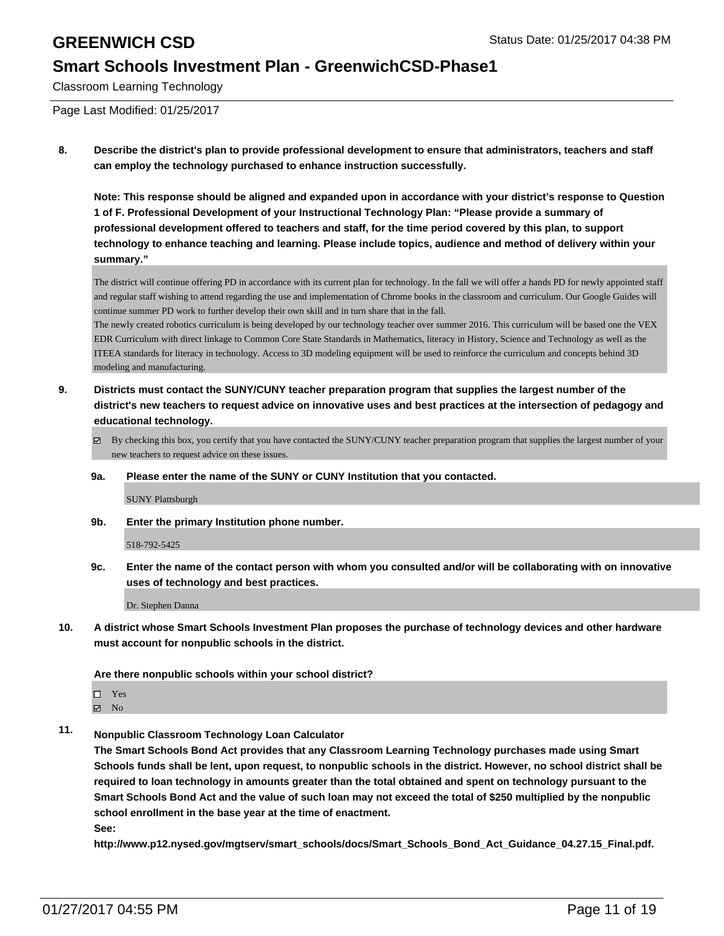Classroom Learning Technology

Page Last Modified: 01/25/2017

**8. Describe the district's plan to provide professional development to ensure that administrators, teachers and staff can employ the technology purchased to enhance instruction successfully.**

**Note: This response should be aligned and expanded upon in accordance with your district's response to Question 1 of F. Professional Development of your Instructional Technology Plan: "Please provide a summary of professional development offered to teachers and staff, for the time period covered by this plan, to support technology to enhance teaching and learning. Please include topics, audience and method of delivery within your summary."**

The district will continue offering PD in accordance with its current plan for technology. In the fall we will offer a hands PD for newly appointed staff and regular staff wishing to attend regarding the use and implementation of Chrome books in the classroom and curriculum. Our Google Guides will continue summer PD work to further develop their own skill and in turn share that in the fall.

The newly created robotics curriculum is being developed by our technology teacher over summer 2016. This curriculum will be based one the VEX EDR Curriculum with direct linkage to Common Core State Standards in Mathematics, literacy in History, Science and Technology as well as the ITEEA standards for literacy in technology. Access to 3D modeling equipment will be used to reinforce the curriculum and concepts behind 3D modeling and manufacturing.

- **9. Districts must contact the SUNY/CUNY teacher preparation program that supplies the largest number of the district's new teachers to request advice on innovative uses and best practices at the intersection of pedagogy and educational technology.**
	- $\boxtimes$  By checking this box, you certify that you have contacted the SUNY/CUNY teacher preparation program that supplies the largest number of your new teachers to request advice on these issues.
	- **9a. Please enter the name of the SUNY or CUNY Institution that you contacted.**

SUNY Plattsburgh

**9b. Enter the primary Institution phone number.**

518-792-5425

**9c. Enter the name of the contact person with whom you consulted and/or will be collaborating with on innovative uses of technology and best practices.**

Dr. Stephen Danna

**10. A district whose Smart Schools Investment Plan proposes the purchase of technology devices and other hardware must account for nonpublic schools in the district.**

### **Are there nonpublic schools within your school district?**

| □ | Yes |  |
|---|-----|--|
| ✔ | No  |  |

**11. Nonpublic Classroom Technology Loan Calculator**

**The Smart Schools Bond Act provides that any Classroom Learning Technology purchases made using Smart Schools funds shall be lent, upon request, to nonpublic schools in the district. However, no school district shall be required to loan technology in amounts greater than the total obtained and spent on technology pursuant to the Smart Schools Bond Act and the value of such loan may not exceed the total of \$250 multiplied by the nonpublic school enrollment in the base year at the time of enactment.**

**See:**

**http://www.p12.nysed.gov/mgtserv/smart\_schools/docs/Smart\_Schools\_Bond\_Act\_Guidance\_04.27.15\_Final.pdf.**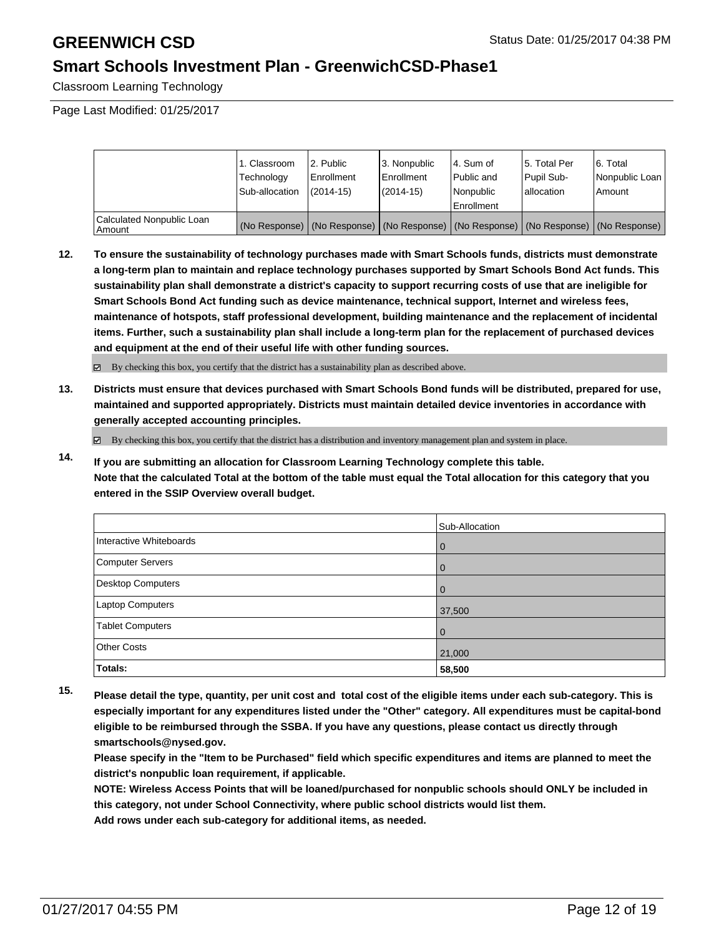Classroom Learning Technology

Page Last Modified: 01/25/2017

|                                     | 1. Classroom<br>Technology<br>Sub-allocation | 2. Public<br>l Enrollment<br>$(2014 - 15)$ | 3. Nonpublic<br><b>Enrollment</b><br>(2014-15) | 4. Sum of<br>Public and<br>Nonpublic<br>Enrollment                                            | 15. Total Per<br>Pupil Sub-<br>lallocation | 6. Total<br>Nonpublic Loan<br>Amount |
|-------------------------------------|----------------------------------------------|--------------------------------------------|------------------------------------------------|-----------------------------------------------------------------------------------------------|--------------------------------------------|--------------------------------------|
| Calculated Nonpublic Loan<br>Amount |                                              |                                            |                                                | (No Response)   (No Response)   (No Response)   (No Response)   (No Response)   (No Response) |                                            |                                      |

**12. To ensure the sustainability of technology purchases made with Smart Schools funds, districts must demonstrate a long-term plan to maintain and replace technology purchases supported by Smart Schools Bond Act funds. This sustainability plan shall demonstrate a district's capacity to support recurring costs of use that are ineligible for Smart Schools Bond Act funding such as device maintenance, technical support, Internet and wireless fees, maintenance of hotspots, staff professional development, building maintenance and the replacement of incidental items. Further, such a sustainability plan shall include a long-term plan for the replacement of purchased devices and equipment at the end of their useful life with other funding sources.**

By checking this box, you certify that the district has a sustainability plan as described above.

**13. Districts must ensure that devices purchased with Smart Schools Bond funds will be distributed, prepared for use, maintained and supported appropriately. Districts must maintain detailed device inventories in accordance with generally accepted accounting principles.**

 $\boxtimes$  By checking this box, you certify that the district has a distribution and inventory management plan and system in place.

**14. If you are submitting an allocation for Classroom Learning Technology complete this table. Note that the calculated Total at the bottom of the table must equal the Total allocation for this category that you entered in the SSIP Overview overall budget.**

|                         | Sub-Allocation |
|-------------------------|----------------|
| Interactive Whiteboards | $\mathbf 0$    |
| Computer Servers        | $\overline{0}$ |
| Desktop Computers       | $\mathbf 0$    |
| Laptop Computers        | 37,500         |
| Tablet Computers        | $\Omega$       |
| Other Costs             | 21,000         |
| Totals:                 | 58,500         |

**15. Please detail the type, quantity, per unit cost and total cost of the eligible items under each sub-category. This is especially important for any expenditures listed under the "Other" category. All expenditures must be capital-bond eligible to be reimbursed through the SSBA. If you have any questions, please contact us directly through smartschools@nysed.gov.**

**Please specify in the "Item to be Purchased" field which specific expenditures and items are planned to meet the district's nonpublic loan requirement, if applicable.**

**NOTE: Wireless Access Points that will be loaned/purchased for nonpublic schools should ONLY be included in this category, not under School Connectivity, where public school districts would list them.**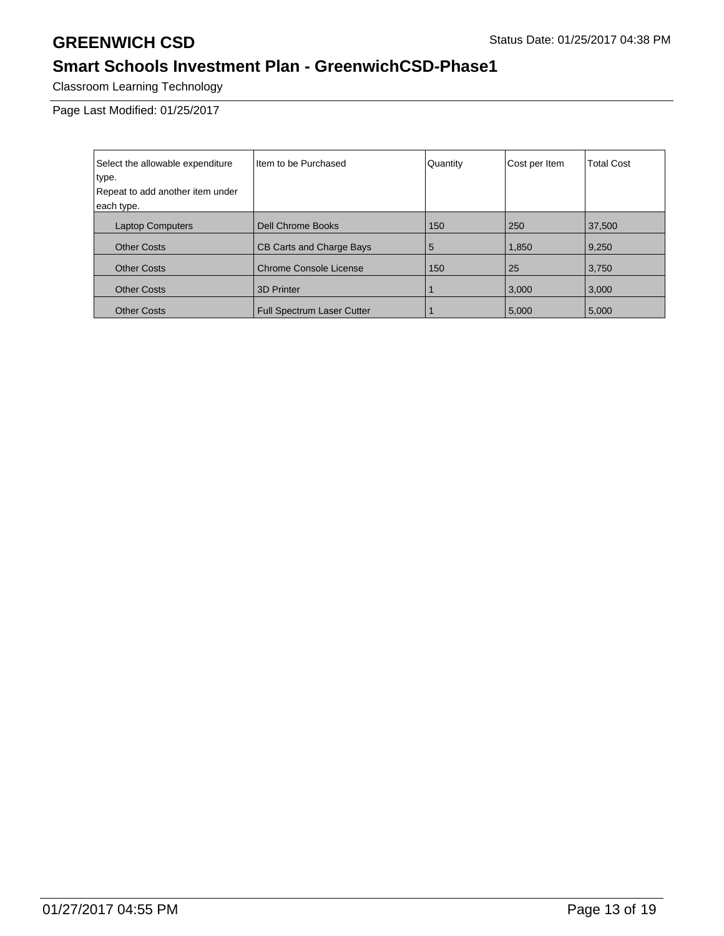Classroom Learning Technology

Page Last Modified: 01/25/2017

| Select the allowable expenditure<br>type. | Item to be Purchased              | Quantity | Cost per Item | <b>Total Cost</b> |
|-------------------------------------------|-----------------------------------|----------|---------------|-------------------|
| Repeat to add another item under          |                                   |          |               |                   |
| each type.                                |                                   |          |               |                   |
| <b>Laptop Computers</b>                   | Dell Chrome Books                 | 150      | 250           | 37,500            |
| <b>Other Costs</b>                        | CB Carts and Charge Bays          | 5        | 1,850         | 9,250             |
| <b>Other Costs</b>                        | <b>Chrome Console License</b>     | 150      | 25            | 3,750             |
| <b>Other Costs</b>                        | <b>3D Printer</b>                 |          | 3,000         | 3,000             |
| <b>Other Costs</b>                        | <b>Full Spectrum Laser Cutter</b> |          | 5,000         | 5,000             |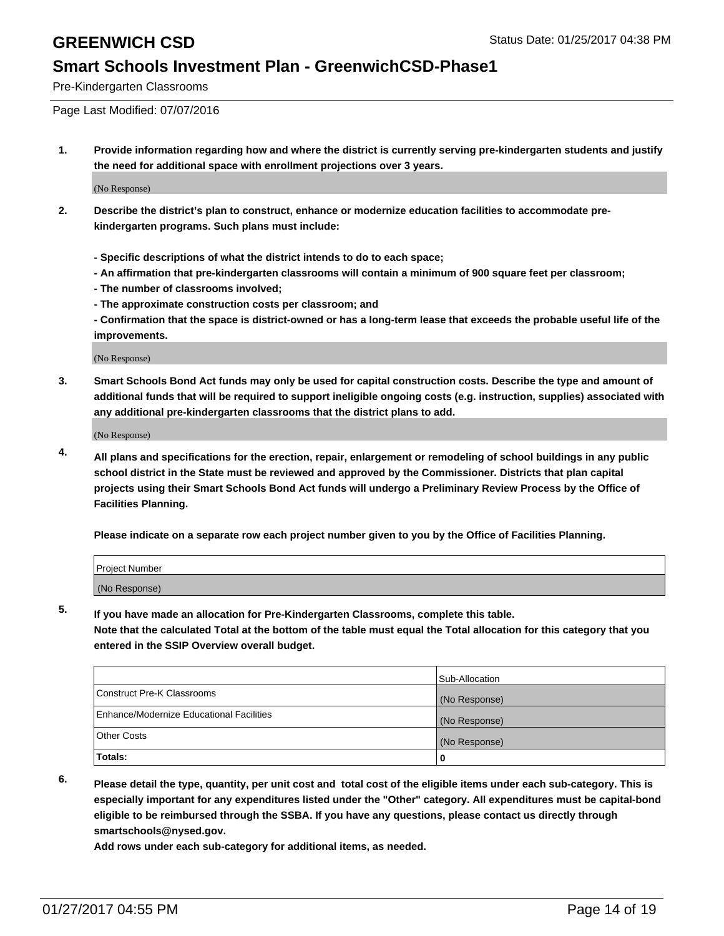Pre-Kindergarten Classrooms

Page Last Modified: 07/07/2016

**1. Provide information regarding how and where the district is currently serving pre-kindergarten students and justify the need for additional space with enrollment projections over 3 years.**

(No Response)

- **2. Describe the district's plan to construct, enhance or modernize education facilities to accommodate prekindergarten programs. Such plans must include:**
	- **Specific descriptions of what the district intends to do to each space;**
	- **An affirmation that pre-kindergarten classrooms will contain a minimum of 900 square feet per classroom;**
	- **The number of classrooms involved;**
	- **The approximate construction costs per classroom; and**
	- **Confirmation that the space is district-owned or has a long-term lease that exceeds the probable useful life of the improvements.**

(No Response)

**3. Smart Schools Bond Act funds may only be used for capital construction costs. Describe the type and amount of additional funds that will be required to support ineligible ongoing costs (e.g. instruction, supplies) associated with any additional pre-kindergarten classrooms that the district plans to add.**

(No Response)

**4. All plans and specifications for the erection, repair, enlargement or remodeling of school buildings in any public school district in the State must be reviewed and approved by the Commissioner. Districts that plan capital projects using their Smart Schools Bond Act funds will undergo a Preliminary Review Process by the Office of Facilities Planning.**

**Please indicate on a separate row each project number given to you by the Office of Facilities Planning.**

| Project Number |  |  |
|----------------|--|--|
| (No Response)  |  |  |

**5. If you have made an allocation for Pre-Kindergarten Classrooms, complete this table.**

**Note that the calculated Total at the bottom of the table must equal the Total allocation for this category that you entered in the SSIP Overview overall budget.**

|                                          | Sub-Allocation |
|------------------------------------------|----------------|
| Construct Pre-K Classrooms               | (No Response)  |
| Enhance/Modernize Educational Facilities | (No Response)  |
| Other Costs                              | (No Response)  |
| Totals:                                  |                |

**6. Please detail the type, quantity, per unit cost and total cost of the eligible items under each sub-category. This is especially important for any expenditures listed under the "Other" category. All expenditures must be capital-bond eligible to be reimbursed through the SSBA. If you have any questions, please contact us directly through smartschools@nysed.gov.**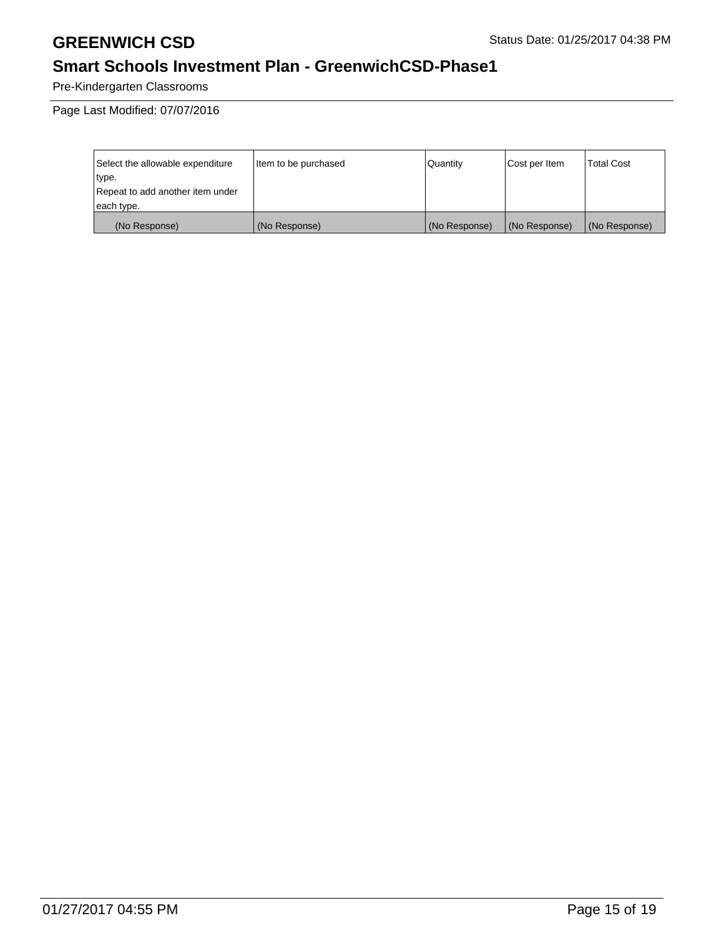Pre-Kindergarten Classrooms

Page Last Modified: 07/07/2016

| Select the allowable expenditure | litem to be purchased | Quantity      | Cost per Item | <b>Total Cost</b> |
|----------------------------------|-----------------------|---------------|---------------|-------------------|
| type.                            |                       |               |               |                   |
| Repeat to add another item under |                       |               |               |                   |
| each type.                       |                       |               |               |                   |
| (No Response)                    | (No Response)         | (No Response) | (No Response) | (No Response)     |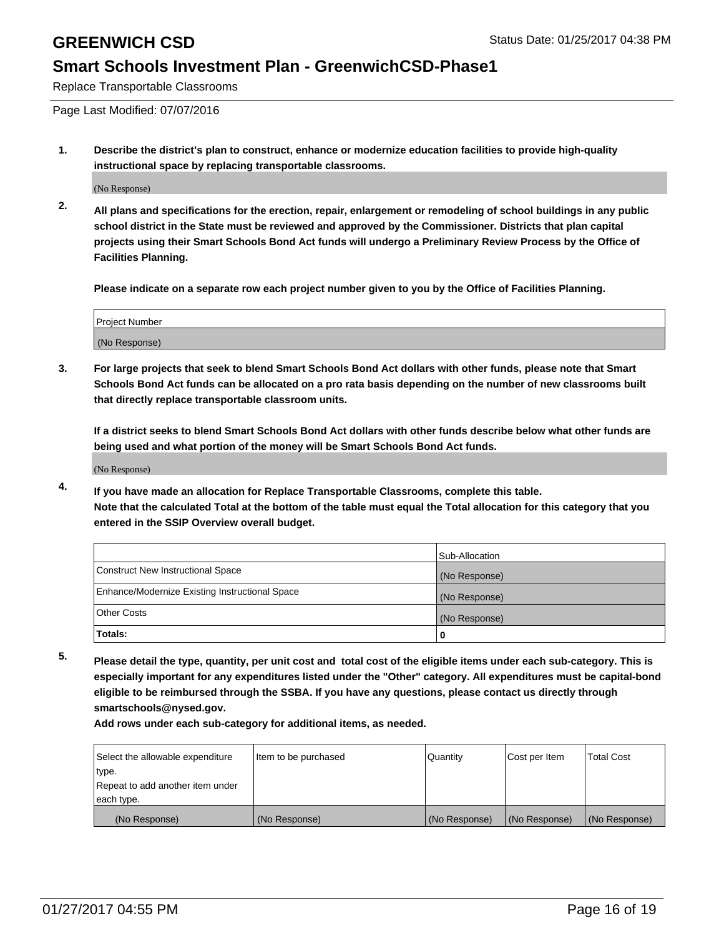Replace Transportable Classrooms

Page Last Modified: 07/07/2016

**1. Describe the district's plan to construct, enhance or modernize education facilities to provide high-quality instructional space by replacing transportable classrooms.**

(No Response)

**2. All plans and specifications for the erection, repair, enlargement or remodeling of school buildings in any public school district in the State must be reviewed and approved by the Commissioner. Districts that plan capital projects using their Smart Schools Bond Act funds will undergo a Preliminary Review Process by the Office of Facilities Planning.**

**Please indicate on a separate row each project number given to you by the Office of Facilities Planning.**

| <b>Project Number</b> |  |
|-----------------------|--|
| (No Response)         |  |

**3. For large projects that seek to blend Smart Schools Bond Act dollars with other funds, please note that Smart Schools Bond Act funds can be allocated on a pro rata basis depending on the number of new classrooms built that directly replace transportable classroom units.**

**If a district seeks to blend Smart Schools Bond Act dollars with other funds describe below what other funds are being used and what portion of the money will be Smart Schools Bond Act funds.**

(No Response)

**4. If you have made an allocation for Replace Transportable Classrooms, complete this table. Note that the calculated Total at the bottom of the table must equal the Total allocation for this category that you entered in the SSIP Overview overall budget.**

|                                                | Sub-Allocation |
|------------------------------------------------|----------------|
| Construct New Instructional Space              | (No Response)  |
| Enhance/Modernize Existing Instructional Space | (No Response)  |
| <b>Other Costs</b>                             | (No Response)  |
| Totals:                                        |                |

**5. Please detail the type, quantity, per unit cost and total cost of the eligible items under each sub-category. This is especially important for any expenditures listed under the "Other" category. All expenditures must be capital-bond eligible to be reimbursed through the SSBA. If you have any questions, please contact us directly through smartschools@nysed.gov.**

| Select the allowable expenditure | Item to be purchased | Quantity      | Cost per Item | <b>Total Cost</b> |
|----------------------------------|----------------------|---------------|---------------|-------------------|
| type.                            |                      |               |               |                   |
| Repeat to add another item under |                      |               |               |                   |
| each type.                       |                      |               |               |                   |
| (No Response)                    | (No Response)        | (No Response) | (No Response) | (No Response)     |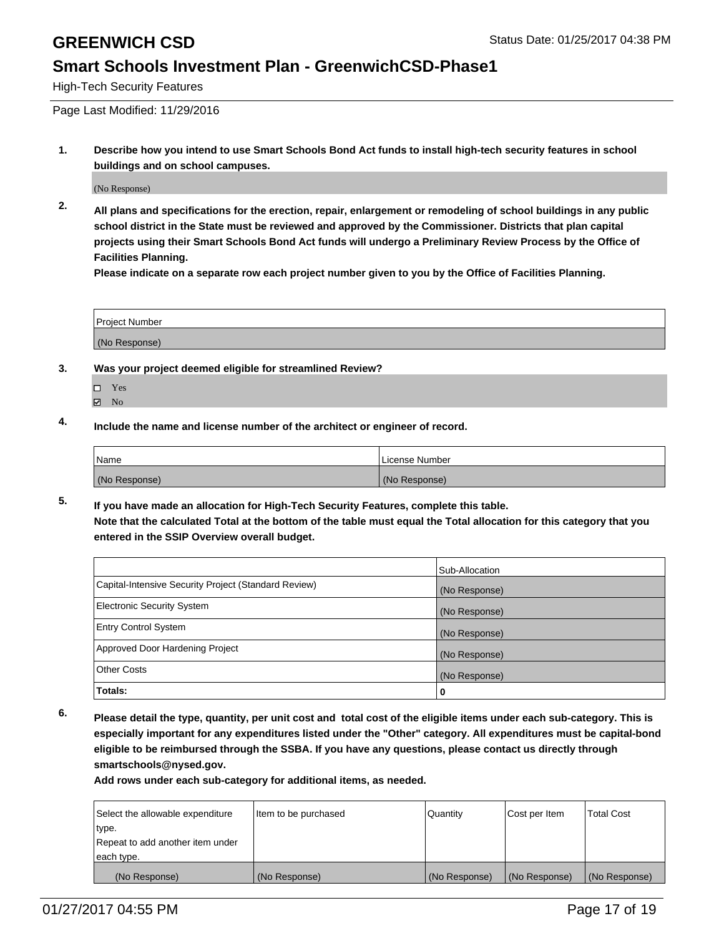High-Tech Security Features

Page Last Modified: 11/29/2016

**1. Describe how you intend to use Smart Schools Bond Act funds to install high-tech security features in school buildings and on school campuses.**

(No Response)

**2. All plans and specifications for the erection, repair, enlargement or remodeling of school buildings in any public school district in the State must be reviewed and approved by the Commissioner. Districts that plan capital projects using their Smart Schools Bond Act funds will undergo a Preliminary Review Process by the Office of Facilities Planning.** 

**Please indicate on a separate row each project number given to you by the Office of Facilities Planning.**

| <b>Project Number</b> |  |
|-----------------------|--|
| (No Response)         |  |

- **3. Was your project deemed eligible for streamlined Review?**
	- Yes
	- $\boxtimes$  No
- **4. Include the name and license number of the architect or engineer of record.**

| Name          | License Number |
|---------------|----------------|
| (No Response) | (No Response)  |

**5. If you have made an allocation for High-Tech Security Features, complete this table. Note that the calculated Total at the bottom of the table must equal the Total allocation for this category that you entered in the SSIP Overview overall budget.**

|                                                      | Sub-Allocation |
|------------------------------------------------------|----------------|
| Capital-Intensive Security Project (Standard Review) | (No Response)  |
| <b>Electronic Security System</b>                    | (No Response)  |
| <b>Entry Control System</b>                          | (No Response)  |
| Approved Door Hardening Project                      | (No Response)  |
| <b>Other Costs</b>                                   | (No Response)  |
| Totals:                                              | 0              |

**6. Please detail the type, quantity, per unit cost and total cost of the eligible items under each sub-category. This is especially important for any expenditures listed under the "Other" category. All expenditures must be capital-bond eligible to be reimbursed through the SSBA. If you have any questions, please contact us directly through smartschools@nysed.gov.**

| Select the allowable expenditure | Item to be purchased | <b>Quantity</b> | Cost per Item | <b>Total Cost</b> |
|----------------------------------|----------------------|-----------------|---------------|-------------------|
| type.                            |                      |                 |               |                   |
| Repeat to add another item under |                      |                 |               |                   |
| each type.                       |                      |                 |               |                   |
| (No Response)                    | (No Response)        | (No Response)   | (No Response) | (No Response)     |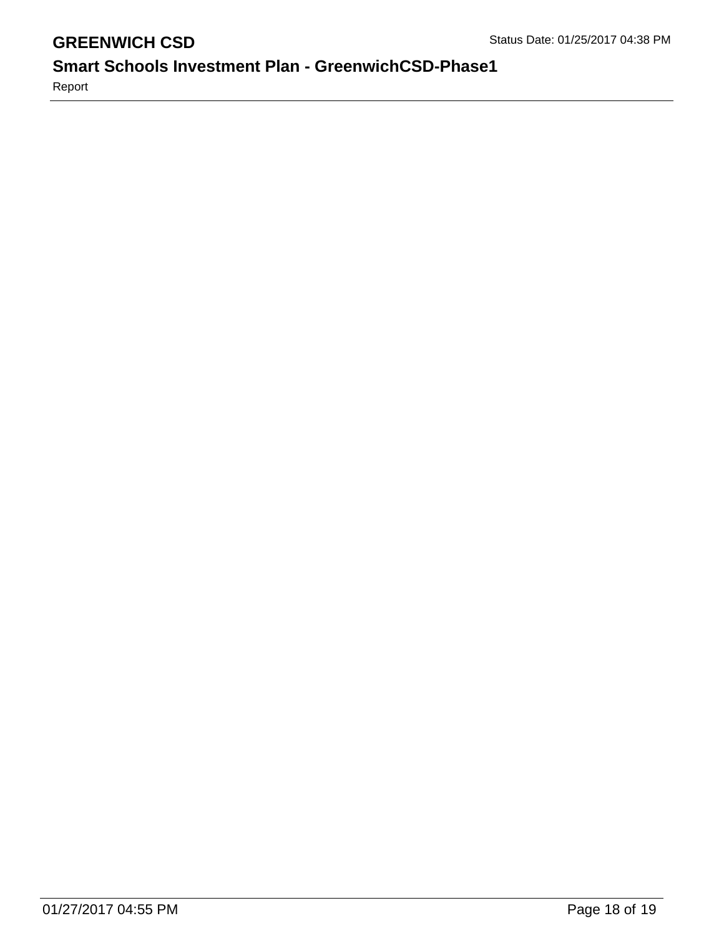Report